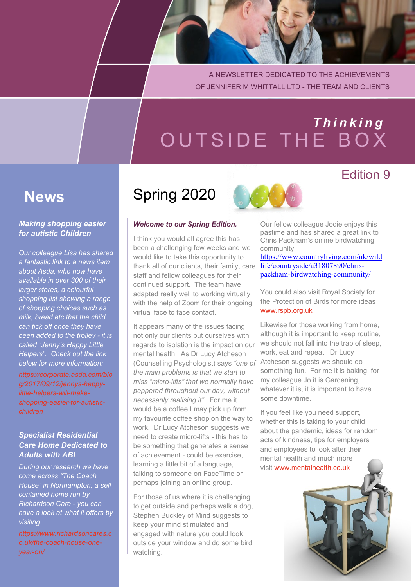A NEWSLETTER DEDICATED TO THE ACHIEVEMENTS OF JENNIFER M WHITTALL LTD - THE TEAM AND CLIENTS

# OUTSIDE THE BOX *T h i n k i n g*

### **News**

#### *Making shopping easier for autistic Children*

*Our colleague Lisa has shared a fantastic link to a news item about Asda, who now have available in over 300 of their larger stores, a colourful shopping list showing a range of shopping choices such as milk, bread etc that the child can tick off once they have been added to the trolley - it is called "Jenny's Happy Little Helpers". Check out the link below for more information:*

*[https://corporate.asda.com/blo](https://corporate.asda.com/blog/2017/09/12/jennys-happy-little-helpers-will-make-shopping-easier-for-autistic-children) [g/2017/09/12/jennys-happy](https://corporate.asda.com/blog/2017/09/12/jennys-happy-little-helpers-will-make-shopping-easier-for-autistic-children)[little-helpers-will-make](https://corporate.asda.com/blog/2017/09/12/jennys-happy-little-helpers-will-make-shopping-easier-for-autistic-children)[shopping-easier-for-autistic](https://corporate.asda.com/blog/2017/09/12/jennys-happy-little-helpers-will-make-shopping-easier-for-autistic-children)[children](https://corporate.asda.com/blog/2017/09/12/jennys-happy-little-helpers-will-make-shopping-easier-for-autistic-children)*

#### *Specialist Residential Care Home Dedicated to Adults with ABI*

*During our research we have come across "The Coach House" in Northampton, a self contained home run by Richardson Care - you can have a look at what it offers by visiting*

*[https://www.richardsoncares.c](https://www.richardsoncares.co.uk/the-coach-house-one-year-on/) [o.uk/the-coach-house-one](https://www.richardsoncares.co.uk/the-coach-house-one-year-on/)[year-on/](https://www.richardsoncares.co.uk/the-coach-house-one-year-on/)*

### Spring 2020

#### *Welcome to our Spring Edition.*

I think you would all agree this has been a challenging few weeks and we would like to take this opportunity to thank all of our clients, their family, care staff and fellow colleagues for their continued support. The team have adapted really well to working virtually with the help of Zoom for their ongoing virtual face to face contact.

It appears many of the issues facing not only our clients but ourselves with regards to isolation is the impact on our mental health. As Dr Lucy Atcheson (Counselling Psychologist) says *"one of* Atcheson suggests we should do *the main problems is that we start to miss "micro-lifts" that we normally have peppered throughout our day, without necessarily realising it"*. For me it would be a coffee I may pick up from my favourite coffee shop on the way to work. Dr Lucy Atcheson suggests we need to create micro-lifts - this has to be something that generates a sense of achievement - could be exercise, learning a little bit of a language, talking to someone on FaceTime or perhaps joining an online group.

For those of us where it is challenging to get outside and perhaps walk a dog, Stephen Buckley of Mind suggests to keep your mind stimulated and engaged with nature you could look outside your window and do some bird watching.

Our fellow colleague Jodie enjoys this pastime and has shared a great link to Chris Packham's online birdwatching community

Edition 9

https://www.countryliving.com/uk/wild life/countryside/a31807890/chrispackham-birdwatching-community/

You could also visit Royal Society for the Protection of Birds for more idea[s](www.rspb.org.uk) <www.rspb.org.uk>

Likewise for those working from home, although it is important to keep routine, we should not fall into the trap of sleep, work, eat and repeat. Dr Lucy something fun. For me it is baking, for my colleague Jo it is Gardening, whatever it is, it is important to have some downtime.

If you feel like you need support, whether this is taking to your child about the pandemic, ideas for random acts of kindness, tips for employers and employees to look after their mental health and much more visit [www.mentalhealth.co.uk](https://mentalhealth.co.uk)